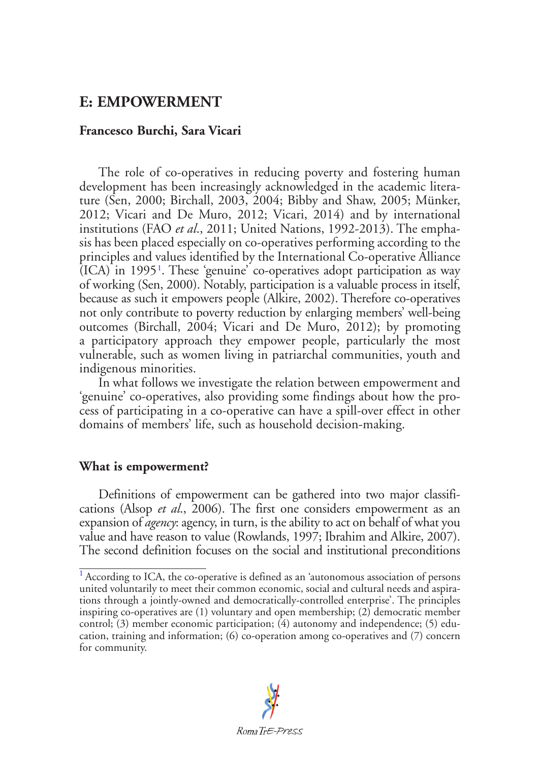# **E: EMPOWERMENT**

# **Francesco Burchi, Sara Vicari**

<span id="page-0-1"></span>The role of co-operatives in reducing poverty and fostering human development has been increasingly acknowledged in the academic literature (Sen, 2000; Birchall, 2003, 2004; Bibby and Shaw, 2005; Münker, 2012; Vicari and De Muro, 2012; Vicari, 2014) and by international institutions (FAO *et al*., 2011; United Nations, 1992-2013). The emphasis has been placed especially on co-operatives performing according to the principles and values identified by the International Co-operative Alliance (ICA) in 1995[1](#page-0-0) . These 'genuine' co-operatives adopt participation as way of working (Sen, 2000). Notably, participation is a valuable process in itself, because as such it empowers people (Alkire, 2002). Therefore co-operatives not only contribute to poverty reduction by enlarging members' well-being outcomes (Birchall, 2004; Vicari and De Muro, 2012); by promoting a participatory approach they empower people, particularly the most vulnerable, such as women living in patriarchal communities, youth and indigenous minorities.

In what follows we investigate the relation between empowerment and 'genuine' co-operatives, also providing some findings about how the process of participating in a co-operative can have a spill-over effect in other domains of members' life, such as household decision-making.

## **What is empowerment?**

Definitions of empowerment can be gathered into two major classifications (Alsop *et al*., 2006). The first one considers empowerment as an expansion of *agency*: agency, in turn, is the ability to act on behalf of what you value and have reason to value (Rowlands, 1997; Ibrahim and Alkire, 2007). The second definition focuses on the social and institutional preconditions

<span id="page-0-0"></span><sup>&</sup>lt;sup>[1](#page-0-1)</sup> According to ICA, the co-operative is defined as an 'autonomous association of persons united voluntarily to meet their common economic, social and cultural needs and aspirations through a jointly-owned and democratically-controlled enterprise'. The principles inspiring co-operatives are (1) voluntary and open membership; (2) democratic member control; (3) member economic participation; (4) autonomy and independence; (5) education, training and information; (6) co-operation among co-operatives and (7) concern for community.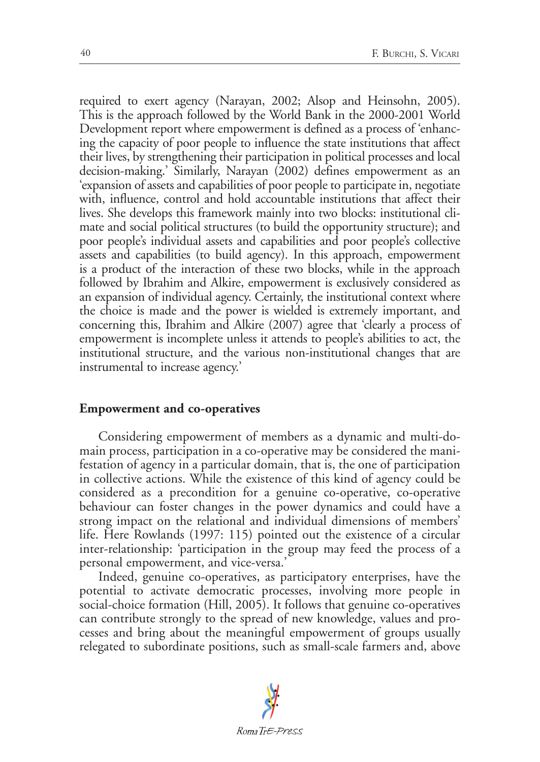required to exert agency (Narayan, 2002; Alsop and Heinsohn, 2005). This is the approach followed by the World Bank in the 2000-2001 World Development report where empowerment is defined as a process of 'enhancing the capacity of poor people to influence the state institutions that affect their lives, by strengthening their participation in political processes and local decision-making.' Similarly, Narayan (2002) defines empowerment as an 'expansion of assets and capabilities of poor people to participate in, negotiate with, influence, control and hold accountable institutions that affect their lives. She develops this framework mainly into two blocks: institutional climate and social political structures (to build the opportunity structure); and poor people's individual assets and capabilities and poor people's collective assets and capabilities (to build agency). In this approach, empowerment is a product of the interaction of these two blocks, while in the approach followed by Ibrahim and Alkire, empowerment is exclusively considered as an expansion of individual agency. Certainly, the institutional context where the choice is made and the power is wielded is extremely important, and concerning this, Ibrahim and Alkire (2007) agree that 'clearly a process of empowerment is incomplete unless it attends to people's abilities to act, the institutional structure, and the various non-institutional changes that are instrumental to increase agency.'

## **Empowerment and co-operatives**

Considering empowerment of members as a dynamic and multi-domain process, participation in a co-operative may be considered the manifestation of agency in a particular domain, that is, the one of participation in collective actions. While the existence of this kind of agency could be considered as a precondition for a genuine co-operative, co-operative behaviour can foster changes in the power dynamics and could have a strong impact on the relational and individual dimensions of members' life. Here Rowlands (1997: 115) pointed out the existence of a circular inter-relationship: 'participation in the group may feed the process of a personal empowerment, and vice-versa.'

Indeed, genuine co-operatives, as participatory enterprises, have the potential to activate democratic processes, involving more people in social-choice formation (Hill, 2005). It follows that genuine co-operatives can contribute strongly to the spread of new knowledge, values and processes and bring about the meaningful empowerment of groups usually relegated to subordinate positions, such as small-scale farmers and, above

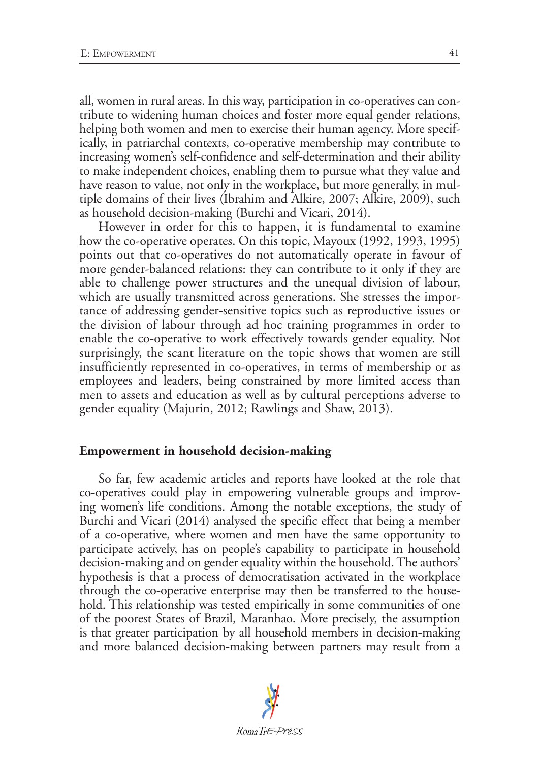all, women in rural areas. In this way, participation in co-operatives can contribute to widening human choices and foster more equal gender relations, helping both women and men to exercise their human agency. More specifically, in patriarchal contexts, co-operative membership may contribute to increasing women's self-confidence and self-determination and their ability to make independent choices, enabling them to pursue what they value and have reason to value, not only in the workplace, but more generally, in multiple domains of their lives (Ibrahim and Alkire, 2007; Alkire, 2009), such as household decision-making (Burchi and Vicari, 2014).

However in order for this to happen, it is fundamental to examine how the co-operative operates. On this topic, Mayoux (1992, 1993, 1995) points out that co-operatives do not automatically operate in favour of more gender-balanced relations: they can contribute to it only if they are able to challenge power structures and the unequal division of labour, which are usually transmitted across generations. She stresses the importance of addressing gender-sensitive topics such as reproductive issues or the division of labour through ad hoc training programmes in order to enable the co-operative to work effectively towards gender equality. Not surprisingly, the scant literature on the topic shows that women are still insufficiently represented in co-operatives, in terms of membership or as employees and leaders, being constrained by more limited access than men to assets and education as well as by cultural perceptions adverse to gender equality (Majurin, 2012; Rawlings and Shaw, 2013).

#### **Empowerment in household decision-making**

So far, few academic articles and reports have looked at the role that co-operatives could play in empowering vulnerable groups and improving women's life conditions. Among the notable exceptions, the study of Burchi and Vicari (2014) analysed the specific effect that being a member of a co-operative, where women and men have the same opportunity to participate actively, has on people's capability to participate in household decision-making and on gender equality within the household. The authors' hypothesis is that a process of democratisation activated in the workplace through the co-operative enterprise may then be transferred to the household. This relationship was tested empirically in some communities of one of the poorest States of Brazil, Maranhao. More precisely, the assumption is that greater participation by all household members in decision-making and more balanced decision-making between partners may result from a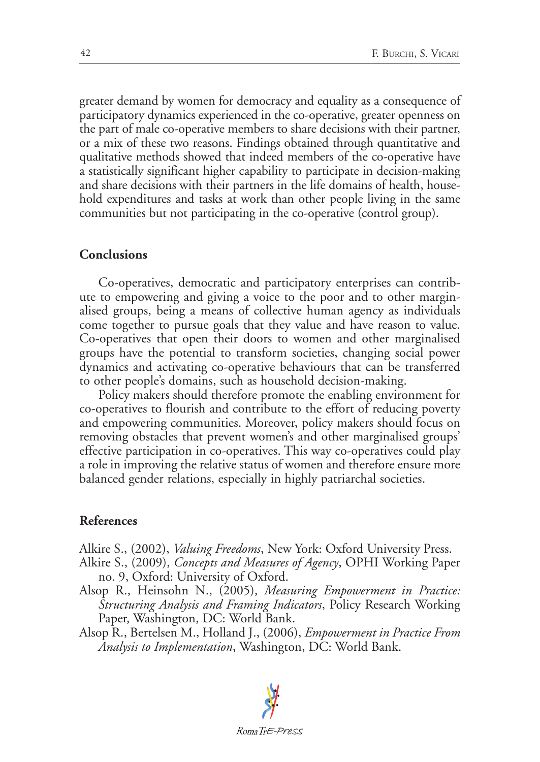greater demand by women for democracy and equality as a consequence of participatory dynamics experienced in the co-operative, greater openness on the part of male co-operative members to share decisions with their partner, or a mix of these two reasons. Findings obtained through quantitative and qualitative methods showed that indeed members of the co-operative have a statistically significant higher capability to participate in decision-making and share decisions with their partners in the life domains of health, household expenditures and tasks at work than other people living in the same communities but not participating in the co-operative (control group).

### **Conclusions**

Co-operatives, democratic and participatory enterprises can contribute to empowering and giving a voice to the poor and to other marginalised groups, being a means of collective human agency as individuals come together to pursue goals that they value and have reason to value. Co-operatives that open their doors to women and other marginalised groups have the potential to transform societies, changing social power dynamics and activating co-operative behaviours that can be transferred to other people's domains, such as household decision-making.

Policy makers should therefore promote the enabling environment for co-operatives to flourish and contribute to the effort of reducing poverty and empowering communities. Moreover, policy makers should focus on removing obstacles that prevent women's and other marginalised groups' effective participation in co-operatives. This way co-operatives could play a role in improving the relative status of women and therefore ensure more balanced gender relations, especially in highly patriarchal societies.

#### **References**

Alkire S., (2002), *Valuing Freedoms*, New York: Oxford University Press.

- Alkire S., (2009), *Concepts and Measures of Agency*, OPHI Working Paper no. 9, Oxford: University of Oxford.
- Alsop R., Heinsohn N., (2005), *Measuring Empowerment in Practice: Structuring Analysis and Framing Indicators*, Policy Research Working Paper, Washington, DC: World Bank.
- Alsop R., Bertelsen M., Holland J., (2006), *Empowerment in Practice From Analysis to Implementation*, Washington, DC: World Bank.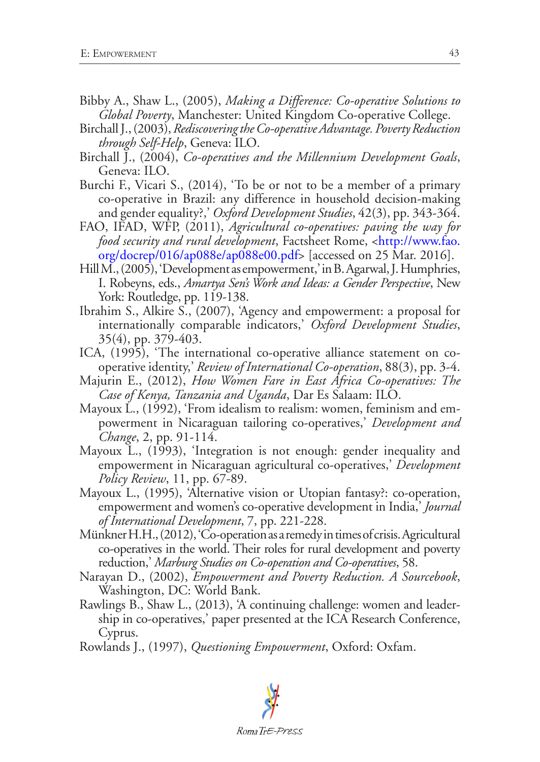- Bibby A., Shaw L., (2005), *Making a Difference: Co-operative Solutions to Global Poverty*, Manchester: United Kingdom Co-operative College.
- Birchall J., (2003), *Rediscovering the Co-operative Advantage. Poverty Reduction through Self-Help*, Geneva: ILO.
- Birchall J., (2004), *Co-operatives and the Millennium Development Goals*, Geneva: ILO.
- Burchi F., Vicari S., (2014), 'To be or not to be a member of a primary co-operative in Brazil: any difference in household decision-making and gender equality?,' *Oxford Development Studies*, 42(3), pp. 343-364.
- FAO, IFAD, WFP, (2011), *Agricultural co-operatives: paving the way for food security and rural development*, Factsheet Rome, <[http://www.fao.](http://www.fao.org/docrep/016/ap088e/ap088e00.pdf) [org/docrep/016/ap088e/ap088e00.pdf](http://www.fao.org/docrep/016/ap088e/ap088e00.pdf)> [accessed on 25 Mar. 2016].
- Hill M., (2005), 'Development as empowerment,' in B. Agarwal, J. Humphries, I. Robeyns, eds., *Amartya Sen's Work and Ideas: a Gender Perspective*, New York: Routledge, pp. 119-138.
- Ibrahim S., Alkire S., (2007), 'Agency and empowerment: a proposal for internationally comparable indicators,' *Oxford Development Studies*, 35(4), pp. 379-403.
- ICA, (1995), 'The international co-operative alliance statement on cooperative identity,' *Review of International Co-operation*, 88(3), pp. 3-4.
- Majurin E., (2012), *How Women Fare in East Africa Co-operatives: The Case of Kenya, Tanzania and Uganda*, Dar Es Salaam: ILO.
- Mayoux L., (1992), 'From idealism to realism: women, feminism and empowerment in Nicaraguan tailoring co-operatives,' *Development and Change*, 2, pp. 91-114.
- Mayoux L., (1993), 'Integration is not enough: gender inequality and empowerment in Nicaraguan agricultural co-operatives,' *Development Policy Review*, 11, pp. 67-89.
- Mayoux L., (1995), 'Alternative vision or Utopian fantasy?: co-operation, empowerment and women's co-operative development in India,' *Journal of International Development*, 7, pp. 221-228.
- Münkner H.H., (2012), 'Co-operation as a remedy in times of crisis. Agricultural co-operatives in the world. Their roles for rural development and poverty reduction,' *Marburg Studies on Co-operation and Co-operatives*, 58.
- Narayan D., (2002), *Empowerment and Poverty Reduction. A Sourcebook*, Washington, DC: World Bank.
- Rawlings B., Shaw L., (2013), 'A continuing challenge: women and leadership in co-operatives,' paper presented at the ICA Research Conference, Cyprus.
- Rowlands J., (1997), *Questioning Empowerment*, Oxford: Oxfam.